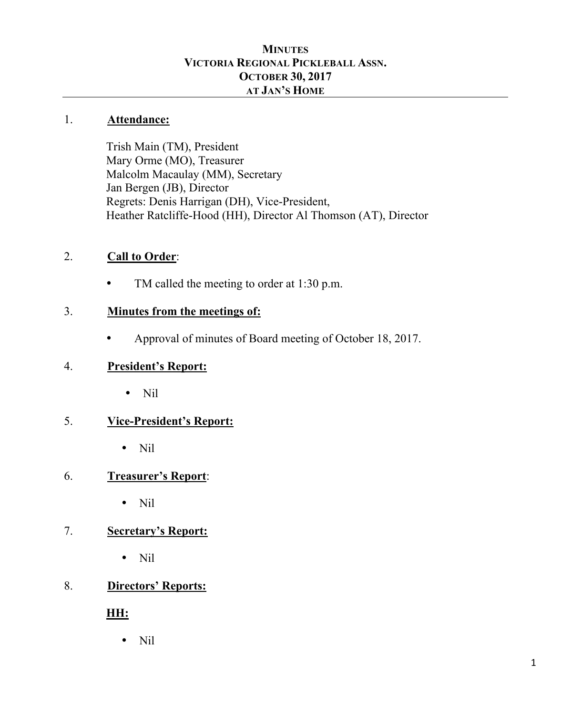#### **MINUTES VICTORIA REGIONAL PICKLEBALL ASSN. OCTOBER 30, 2017 AT JAN'S HOME**

#### 1. **Attendance:**

Trish Main (TM), President Mary Orme (MO), Treasurer Malcolm Macaulay (MM), Secretary Jan Bergen (JB), Director Regrets: Denis Harrigan (DH), Vice-President, Heather Ratcliffe-Hood (HH), Director Al Thomson (AT), Director

#### 2. **Call to Order**:

• TM called the meeting to order at 1:30 p.m.

#### 3. **Minutes from the meetings of:**

• Approval of minutes of Board meeting of October 18, 2017.

#### 4. **President's Report:**

• Nil

#### 5. **Vice-President's Report:**

• Nil

#### 6. **Treasurer's Report**:

• Nil

#### 7. **Secretary's Report:**

• Nil

## 8. **Directors' Reports:**

#### **HH:**

• Nil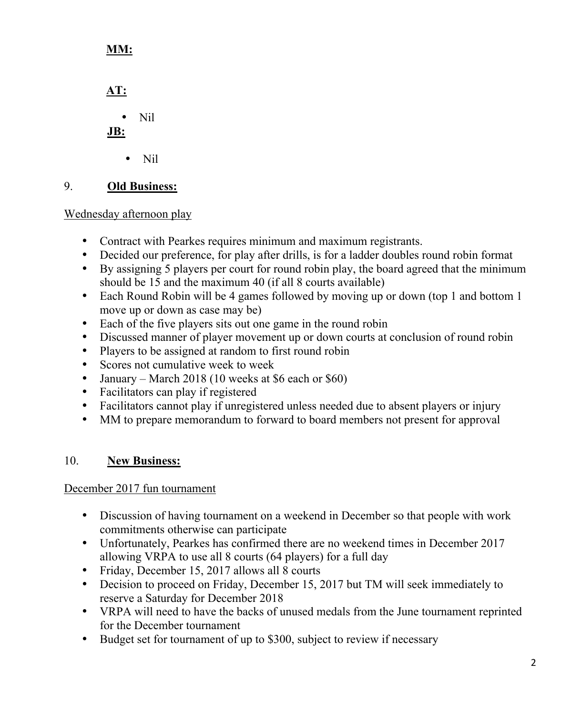## **MM:**

**AT:**

• Nil

**JB:**

• Nil

## 9. **Old Business:**

Wednesday afternoon play

- Contract with Pearkes requires minimum and maximum registrants.
- Decided our preference, for play after drills, is for a ladder doubles round robin format
- By assigning 5 players per court for round robin play, the board agreed that the minimum should be 15 and the maximum 40 (if all 8 courts available)
- Each Round Robin will be 4 games followed by moving up or down (top 1 and bottom 1 move up or down as case may be)
- Each of the five players sits out one game in the round robin
- Discussed manner of player movement up or down courts at conclusion of round robin
- Players to be assigned at random to first round robin
- Scores not cumulative week to week
- January March 2018 (10 weeks at \$6 each or \$60)
- Facilitators can play if registered
- Facilitators cannot play if unregistered unless needed due to absent players or injury
- MM to prepare memorandum to forward to board members not present for approval

# 10. **New Business:**

## December 2017 fun tournament

- Discussion of having tournament on a weekend in December so that people with work commitments otherwise can participate
- Unfortunately, Pearkes has confirmed there are no weekend times in December 2017 allowing VRPA to use all 8 courts (64 players) for a full day
- Friday, December 15, 2017 allows all 8 courts
- Decision to proceed on Friday, December 15, 2017 but TM will seek immediately to reserve a Saturday for December 2018
- VRPA will need to have the backs of unused medals from the June tournament reprinted for the December tournament
- Budget set for tournament of up to \$300, subject to review if necessary